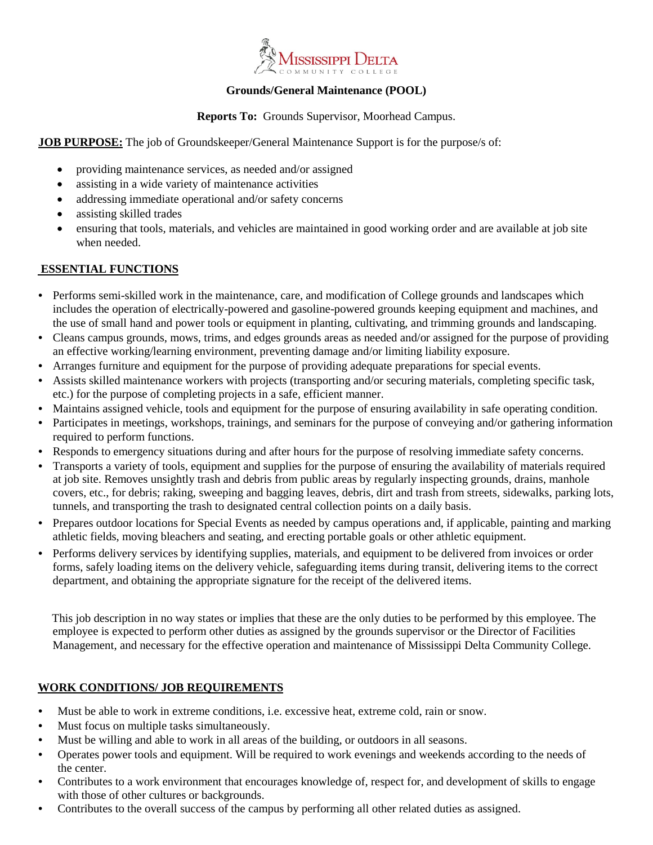

# **Grounds/General Maintenance (POOL)**

#### **Reports To:** Grounds Supervisor, Moorhead Campus.

#### **JOB PURPOSE:** The job of Groundskeeper/General Maintenance Support is for the purpose/s of:

- providing maintenance services, as needed and/or assigned
- assisting in a wide variety of maintenance activities
- addressing immediate operational and/or safety concerns
- assisting skilled trades
- ensuring that tools, materials, and vehicles are maintained in good working order and are available at job site when needed.

# **ESSENTIAL FUNCTIONS**

- Performs semi-skilled work in the maintenance, care, and modification of College grounds and landscapes which includes the operation of electrically-powered and gasoline-powered grounds keeping equipment and machines, and the use of small hand and power tools or equipment in planting, cultivating, and trimming grounds and landscaping.
- Cleans campus grounds, mows, trims, and edges grounds areas as needed and/or assigned for the purpose of providing an effective working/learning environment, preventing damage and/or limiting liability exposure.
- Arranges furniture and equipment for the purpose of providing adequate preparations for special events.
- Assists skilled maintenance workers with projects (transporting and/or securing materials, completing specific task, etc.) for the purpose of completing projects in a safe, efficient manner.
- Maintains assigned vehicle, tools and equipment for the purpose of ensuring availability in safe operating condition.
- Participates in meetings, workshops, trainings, and seminars for the purpose of conveying and/or gathering information required to perform functions.
- Responds to emergency situations during and after hours for the purpose of resolving immediate safety concerns.
- Transports a variety of tools, equipment and supplies for the purpose of ensuring the availability of materials required at job site. Removes unsightly trash and debris from public areas by regularly inspecting grounds, drains, manhole covers, etc., for debris; raking, sweeping and bagging leaves, debris, dirt and trash from streets, sidewalks, parking lots, tunnels, and transporting the trash to designated central collection points on a daily basis.
- Prepares outdoor locations for Special Events as needed by campus operations and, if applicable, painting and marking athletic fields, moving bleachers and seating, and erecting portable goals or other athletic equipment.
- Performs delivery services by identifying supplies, materials, and equipment to be delivered from invoices or order forms, safely loading items on the delivery vehicle, safeguarding items during transit, delivering items to the correct department, and obtaining the appropriate signature for the receipt of the delivered items.

This job description in no way states or implies that these are the only duties to be performed by this employee. The employee is expected to perform other duties as assigned by the grounds supervisor or the Director of Facilities Management, and necessary for the effective operation and maintenance of Mississippi Delta Community College.

# **WORK CONDITIONS/ JOB REQUIREMENTS**

- Must be able to work in extreme conditions, i.e. excessive heat, extreme cold, rain or snow.
- Must focus on multiple tasks simultaneously.
- Must be willing and able to work in all areas of the building, or outdoors in all seasons.
- Operates power tools and equipment. Will be required to work evenings and weekends according to the needs of the center.
- Contributes to a work environment that encourages knowledge of, respect for, and development of skills to engage with those of other cultures or backgrounds.
- Contributes to the overall success of the campus by performing all other related duties as assigned.